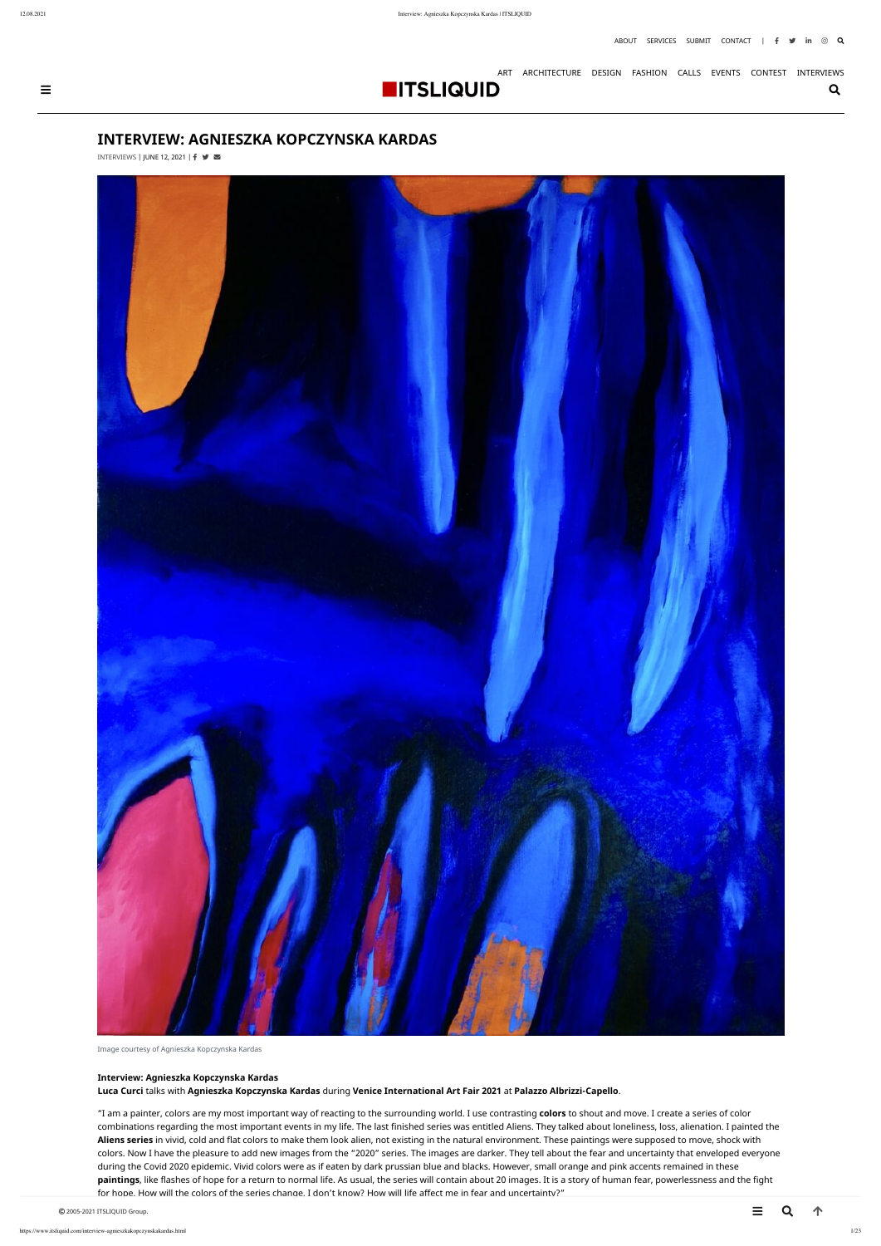# **INTERVIEW: AGNIESZKA KOPCZYNSKA KARDAS**

[INTERVIEWS](https://www.itsliquid.com/category/interviews) | JUNE 12, 2021 |  $\uparrow \blacktriangleright$ 



Image courtesy of Agnieszka Kopczynska Kardas

#### **Interview: Agnieszka Kopczynska Kardas**

**Luca Curci** talks with **Agnieszka Kopczynska Kardas** during **Venice International Art Fair 2021** at **Palazzo Albrizzi-Capello**.

"I am a painter, colors are my most important way of reacting to the surrounding world. I use contrasting **colors** to shout and move. I create a series of color combinations regarding the most important events in my life. The last finished series was entitled Aliens. They talked about loneliness, loss, alienation. I painted the **Aliens series** in vivid, cold and flat colors to make them look alien, not existing in the natural environment. These paintings were supposed to move, shock with colors. Now I have the pleasure to add new images from the "2020" series. The images are darker. They tell about the fear and uncertainty that enveloped everyone during the Covid 2020 epidemic. Vivid colors were as if eaten by dark prussian blue and blacks. However, small orange and pink accents remained in these **paintings**, like flashes of hope for a return to normal life. As usual, the series will contain about 20 images. It is a story of human fear, powerlessness and the fight for hope. How will the colors of the series change, I don't know? How will life affect me in fear and uncertainty?"

© 2005-2021 ITSLIQUID Group.  $\blacksquare$ 



[ART](https://www.itsliquid.com/category/art) [ARCHITECTURE](https://www.itsliquid.com/category/architecture) [DESIGN](https://www.itsliquid.com/category/design) [FASHION](https://www.itsliquid.com/category/fashion) [CALLS](https://www.itsliquid.com/category/calls) [EVENTS](https://www.itsliquid.com/category/events) [CONTEST](https://www.itsliquid.com/contest/) [INTERVIEWS](https://www.itsliquid.com/category/interviews)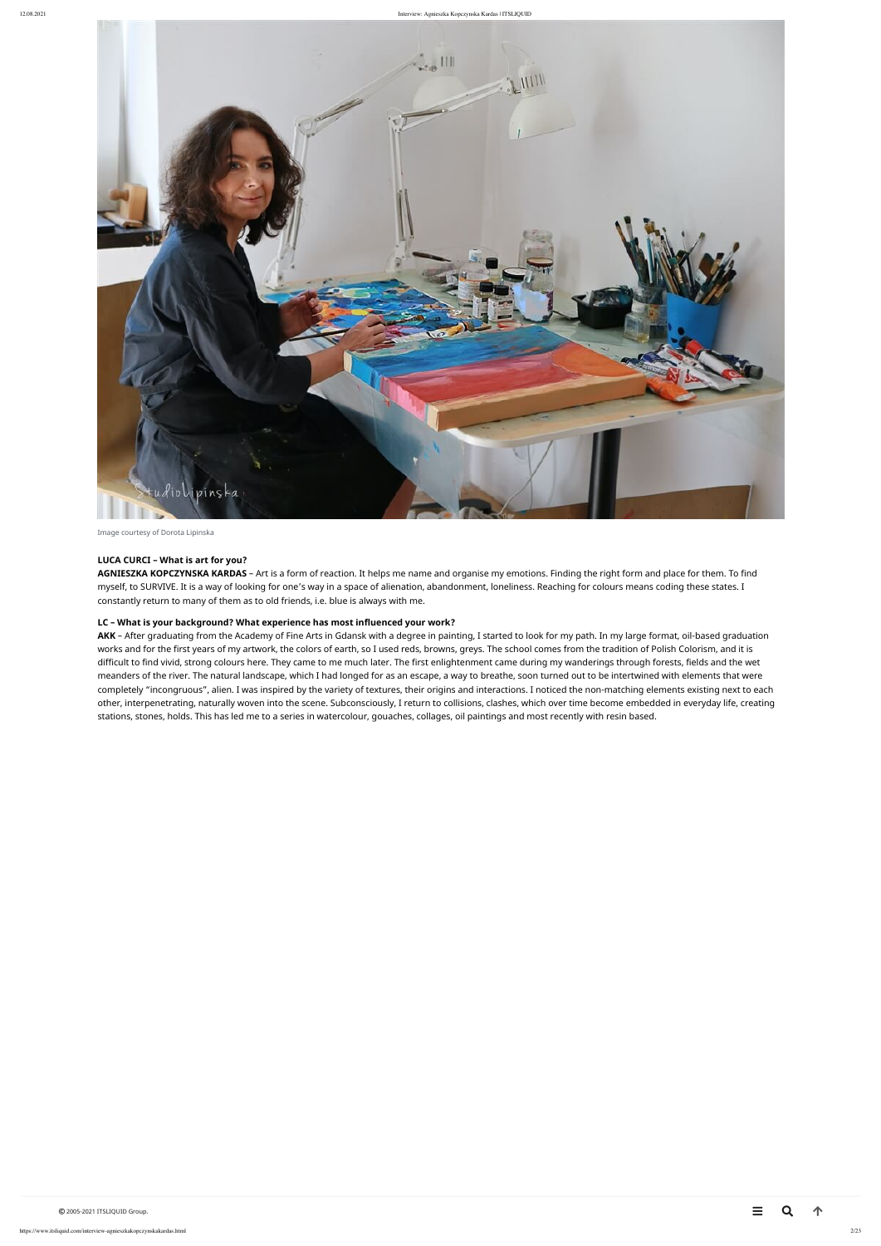

Image courtesy of Dorota Lipinska

#### **LUCA CURCI – What is art for you?**

**AGNIESZKA KOPCZYNSKA KARDAS** – Art is a form of reaction. It helps me name and organise my emotions. Finding the right form and place for them. To find myself, to SURVIVE. It is a way of looking for one's way in a space of alienation, abandonment, loneliness. Reaching for colours means coding these states. I constantly return to many of them as to old friends, i.e. blue is always with me.

#### **LC – What is your background? What experience has most influenced your work?**

AKK - After graduating from the Academy of Fine Arts in Gdansk with a degree in painting, I started to look for my path. In my large format, oil-based graduation works and for the first years of my artwork, the colors of earth, so I used reds, browns, greys. The school comes from the tradition of Polish Colorism, and it is difficult to find vivid, strong colours here. They came to me much later. The first enlightenment came during my wanderings through forests, fields and the wet meanders of the river. The natural landscape, which I had longed for as an escape, a way to breathe, soon turned out to be intertwined with elements that were completely "incongruous", alien. I was inspired by the variety of textures, their origins and interactions. I noticed the non-matching elements existing next to each other, interpenetrating, naturally woven into the scene. Subconsciously, I return to collisions, clashes, which over time become embedded in everyday life, creating stations, stones, holds. This has led me to a series in watercolour, gouaches, collages, oil paintings and most recently with resin based.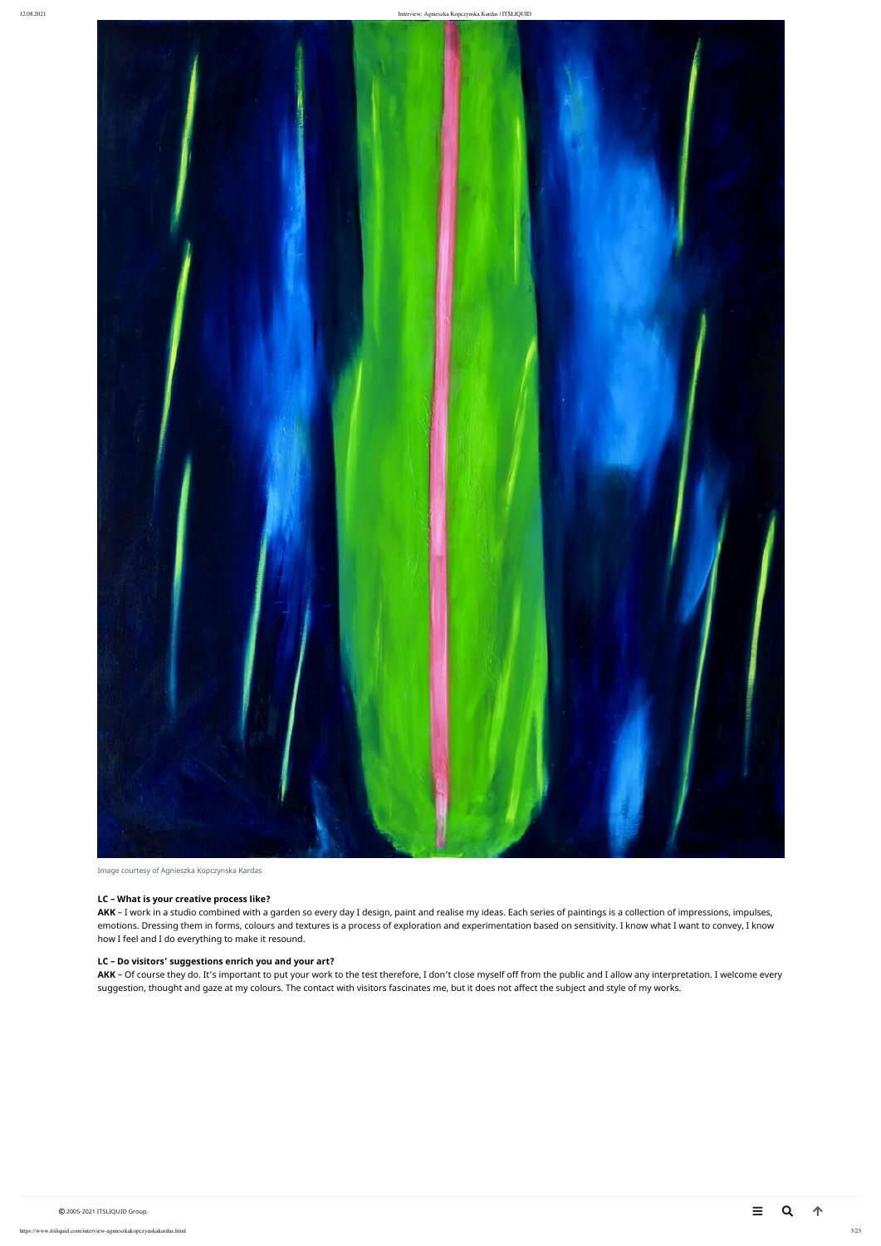

### **LC – What is your creative process like?**

AKK - I work in a studio combined with a garden so every day I design, paint and realise my ideas. Each series of paintings is a collection of impressions, impulses, emotions. Dressing them in forms, colours and textures is a process of exploration and experimentation based on sensitivity. I know what I want to convey, I know how I feel and I do everything to make it resound.

AKK - Of course they do. It's important to put your work to the test therefore, I don't close myself off from the public and I allow any interpretation. I welcome every suggestion, thought and gaze at my colours. The contact with visitors fascinates me, but it does not affect the subject and style of my works.

# **LC – Do visitors' suggestions enrich you and your art?**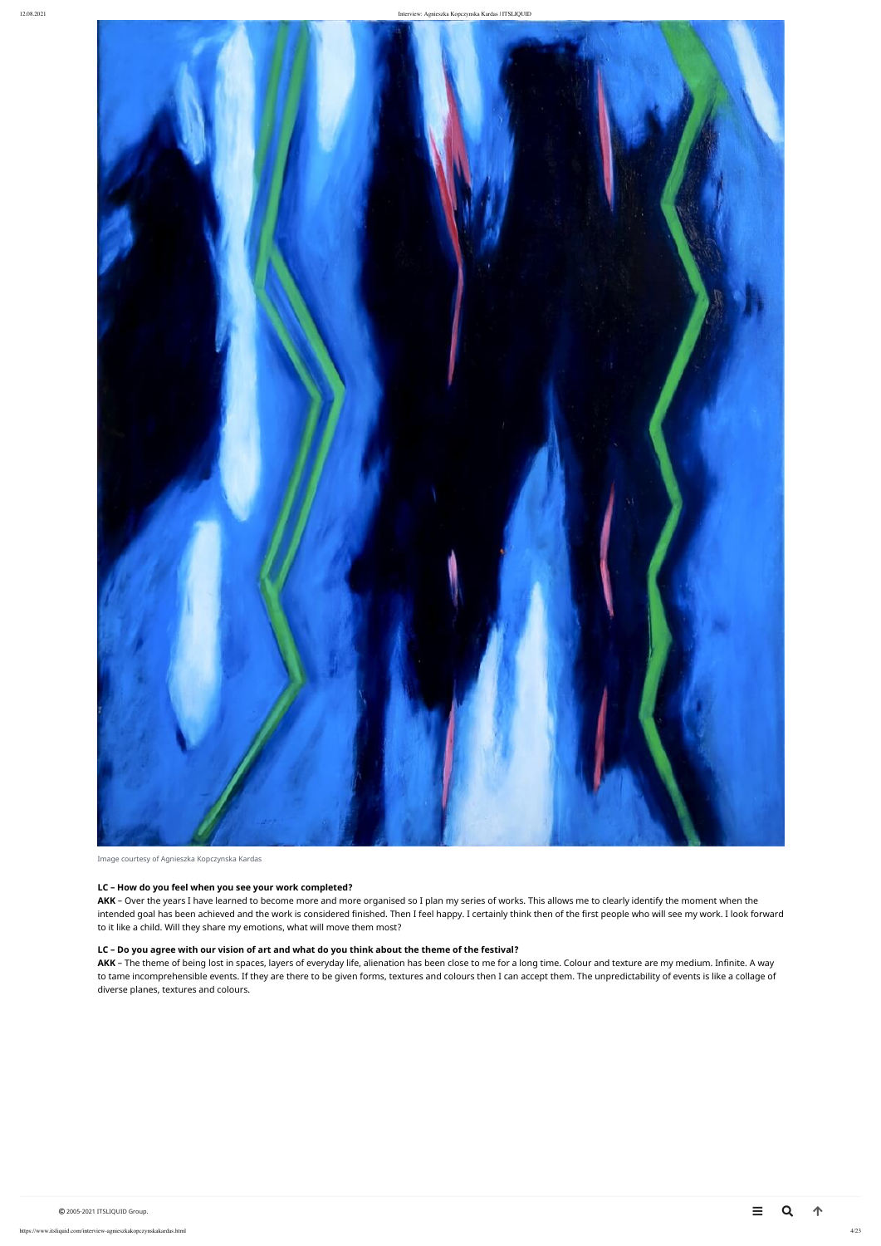

Image courtesy of Agnieszka Kopczynska Kardas

#### **LC – How do you feel when you see your work completed?**

**AKK** – Over the years I have learned to become more and more organised so I plan my series of works. This allows me to clearly identify the moment when the intended goal has been achieved and the work is considered finished. Then I feel happy. I certainly think then of the first people who will see my work. I look forward to it like a child. Will they share my emotions, what will move them most?

AKK - The theme of being lost in spaces, layers of everyday life, alienation has been close to me for a long time. Colour and texture are my medium. Infinite. A way to tame incomprehensible events. If they are there to be given forms, textures and colours then I can accept them. The unpredictability of events is like a collage of diverse planes, textures and colours.

# **LC – Do you agree with our vision of art and what do you think about the theme of the festival?**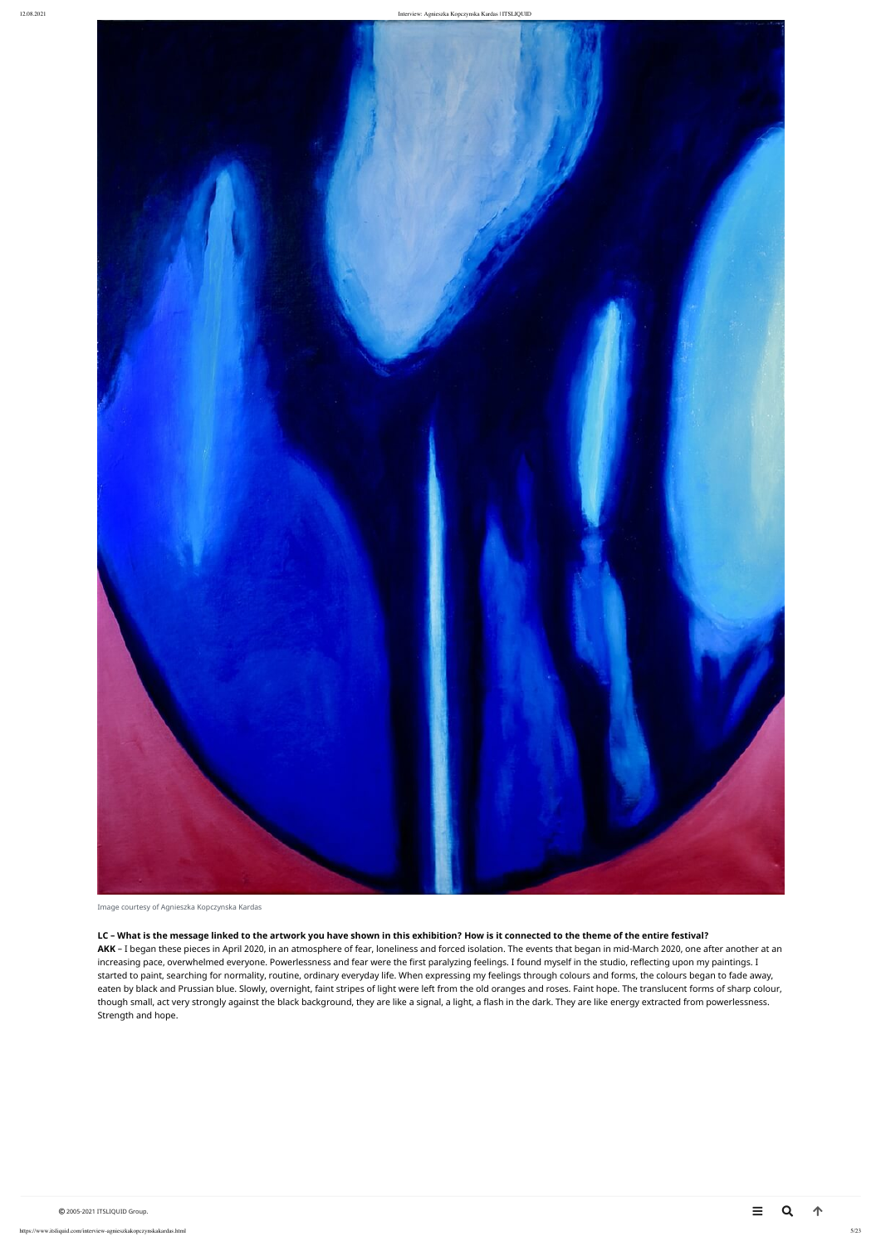

#### **LC – What is the message linked to the artwork you have shown in this exhibition? How is it connected to the theme of the entire festival?**

AKK - I began these pieces in April 2020, in an atmosphere of fear, loneliness and forced isolation. The events that began in mid-March 2020, one after another at an increasing pace, overwhelmed everyone. Powerlessness and fear were the first paralyzing feelings. I found myself in the studio, reflecting upon my paintings. I started to paint, searching for normality, routine, ordinary everyday life. When expressing my feelings through colours and forms, the colours began to fade away, eaten by black and Prussian blue. Slowly, overnight, faint stripes of light were left from the old oranges and roses. Faint hope. The translucent forms of sharp colour, though small, act very strongly against the black background, they are like a signal, a light, a flash in the dark. They are like energy extracted from powerlessness. Strength and hope.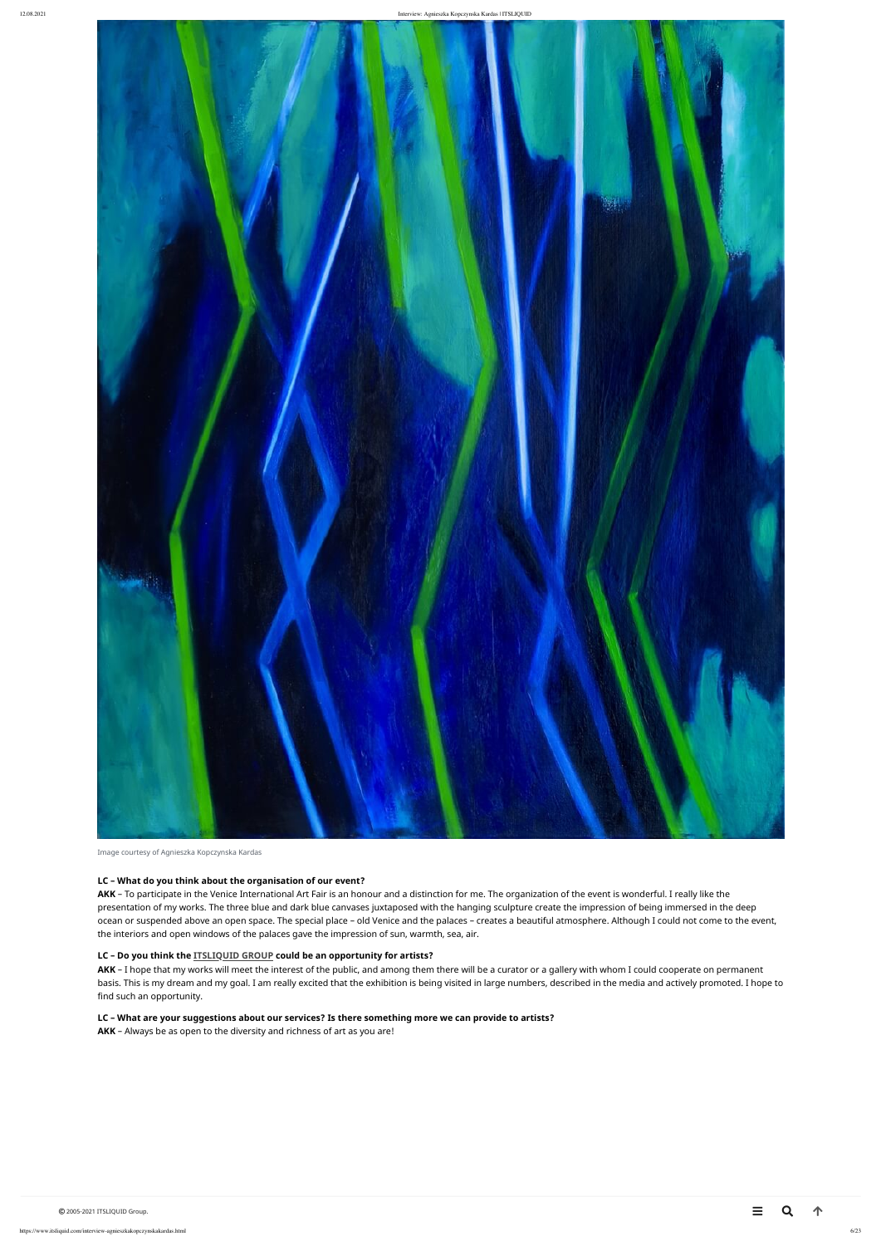<span id="page-5-0"></span>

#### **LC – What do you think about the organisation of our event?**

AKK - To participate in the Venice International Art Fair is an honour and a distinction for me. The organization of the event is wonderful. I really like the presentation of my works. The three blue and dark blue canvases juxtaposed with the hanging sculpture create the impression of being immersed in the deep ocean or suspended above an open space. The special place – old Venice and the palaces – creates a beautiful atmosphere. Although I could not come to the event, the interiors and open windows of the palaces gave the impression of sun, warmth, sea, air.

AKK - I hope that my works will meet the interest of the public, and among them there will be a curator or a gallery with whom I could cooperate on permanent basis. This is my dream and my goal. I am really excited that the exhibition is being visited in large numbers, described in the media and actively promoted. I hope to find such an opportunity.

#### **LC – Do you think the [ITSLIQUID GROUP](https://www.itsliquid.com/category/events) could be an opportunity for artists?**

#### **LC – What are your suggestions about our services? Is there something more we can provide to artists?**

**AKK** – Always be as open to the diversity and richness of art as you are!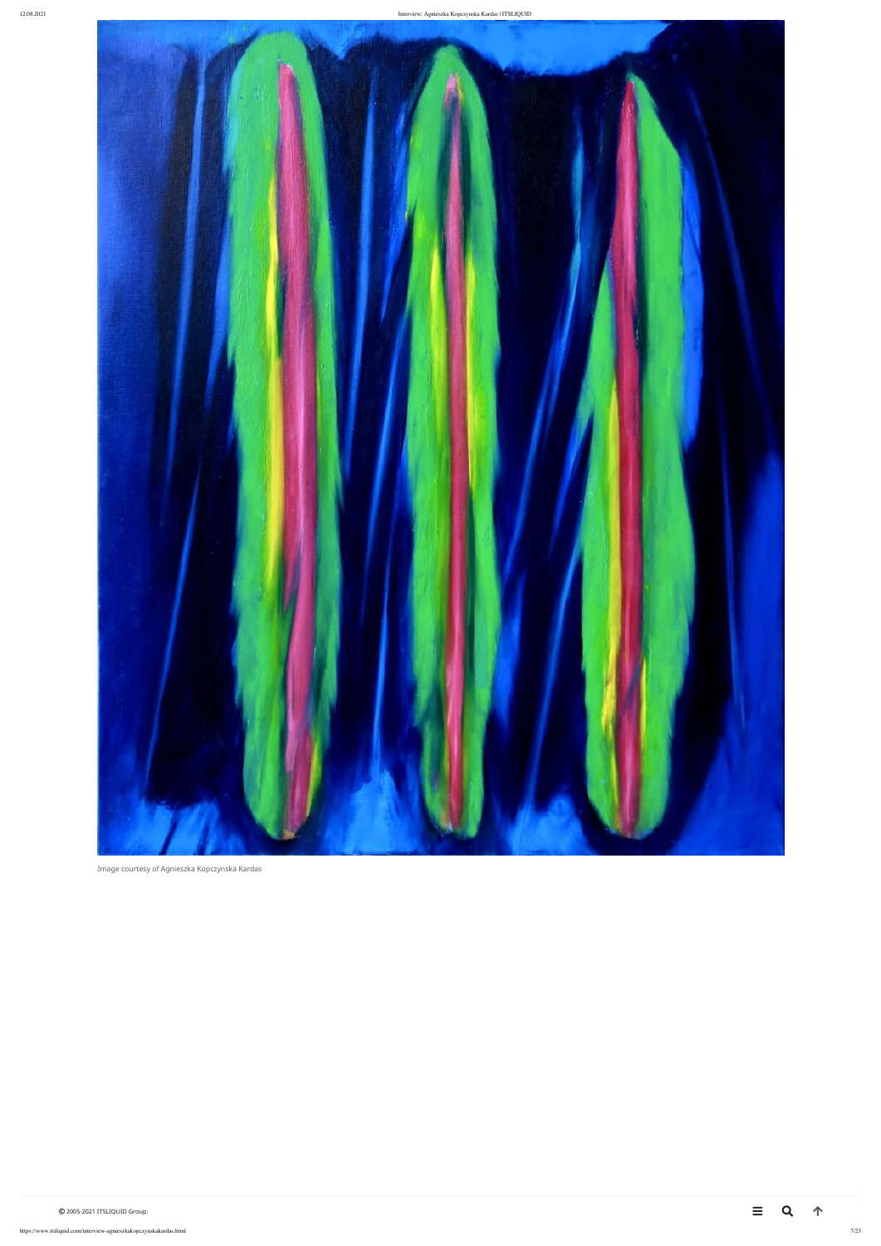